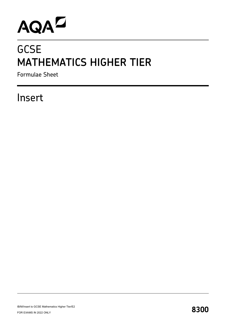# AQAD

## **GCSE MATHEMATICS HIGHER TIER**

Formulae Sheet

### Insert